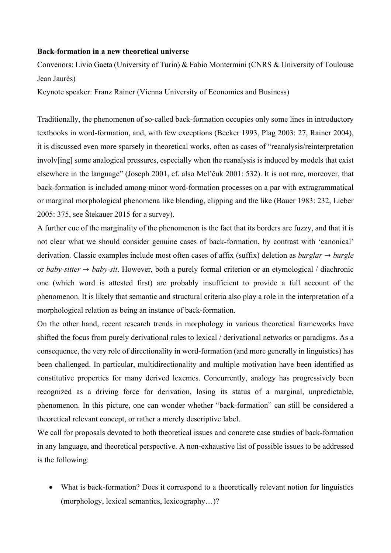## **Back-formation in a new theoretical universe**

Convenors: Livio Gaeta (University of Turin) & Fabio Montermini (CNRS & University of Toulouse Jean Jaurès)

Keynote speaker: Franz Rainer (Vienna University of Economics and Business)

Traditionally, the phenomenon of so-called back-formation occupies only some lines in introductory textbooks in word-formation, and, with few exceptions (Becker 1993, Plag 2003: 27, Rainer 2004), it is discussed even more sparsely in theoretical works, often as cases of "reanalysis/reinterpretation involv[ing] some analogical pressures, especially when the reanalysis is induced by models that exist elsewhere in the language" (Joseph 2001, cf. also Mel'čuk 2001: 532). It is not rare, moreover, that back-formation is included among minor word-formation processes on a par with extragrammatical or marginal morphological phenomena like blending, clipping and the like (Bauer 1983: 232, Lieber 2005: 375, see Štekauer 2015 for a survey).

A further cue of the marginality of the phenomenon is the fact that its borders are fuzzy, and that it is not clear what we should consider genuine cases of back-formation, by contrast with 'canonical' derivation. Classic examples include most often cases of affix (suffix) deletion as *burglar* → *burgle* or *baby-sitter* → *baby-sit*. However, both a purely formal criterion or an etymological / diachronic one (which word is attested first) are probably insufficient to provide a full account of the phenomenon. It is likely that semantic and structural criteria also play a role in the interpretation of a morphological relation as being an instance of back-formation.

On the other hand, recent research trends in morphology in various theoretical frameworks have shifted the focus from purely derivational rules to lexical / derivational networks or paradigms. As a consequence, the very role of directionality in word-formation (and more generally in linguistics) has been challenged. In particular, multidirectionality and multiple motivation have been identified as constitutive properties for many derived lexemes. Concurrently, analogy has progressively been recognized as a driving force for derivation, losing its status of a marginal, unpredictable, phenomenon. In this picture, one can wonder whether "back-formation" can still be considered a theoretical relevant concept, or rather a merely descriptive label.

We call for proposals devoted to both theoretical issues and concrete case studies of back-formation in any language, and theoretical perspective. A non-exhaustive list of possible issues to be addressed is the following:

• What is back-formation? Does it correspond to a theoretically relevant notion for linguistics (morphology, lexical semantics, lexicography…)?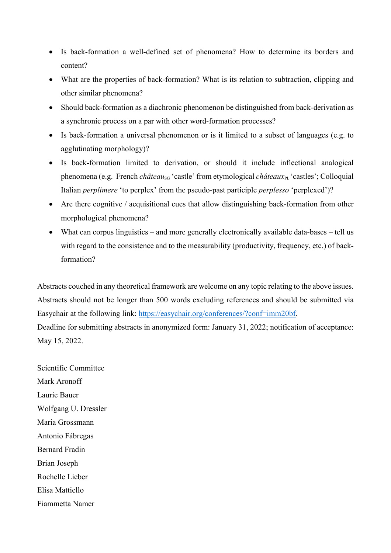- Is back-formation a well-defined set of phenomena? How to determine its borders and content?
- What are the properties of back-formation? What is its relation to subtraction, clipping and other similar phenomena?
- Should back-formation as a diachronic phenomenon be distinguished from back-derivation as a synchronic process on a par with other word-formation processes?
- Is back-formation a universal phenomenon or is it limited to a subset of languages (e.g. to agglutinating morphology)?
- Is back-formation limited to derivation, or should it include inflectional analogical phenomena (e.g. French *château<sub>sG</sub>* 'castle' from etymological *châteaux*<sub>PL</sub> 'castles'; Colloquial Italian *perplimere* 'to perplex' from the pseudo-past participle *perplesso* 'perplexed')?
- Are there cognitive / acquisitional cues that allow distinguishing back-formation from other morphological phenomena?
- What can corpus linguistics and more generally electronically available data-bases tell us with regard to the consistence and to the measurability (productivity, frequency, etc.) of backformation?

Abstracts couched in any theoretical framework are welcome on any topic relating to the above issues. Abstracts should not be longer than 500 words excluding references and should be submitted via Easychair at the following link: https://easychair.org/conferences/?conf=imm20bf. Deadline for submitting abstracts in anonymized form: January 31, 2022; notification of acceptance: May 15, 2022.

Scientific Committee Mark Aronoff Laurie Bauer Wolfgang U. Dressler Maria Grossmann Antonio Fábregas Bernard Fradin Brian Joseph Rochelle Lieber Elisa Mattiello Fiammetta Namer